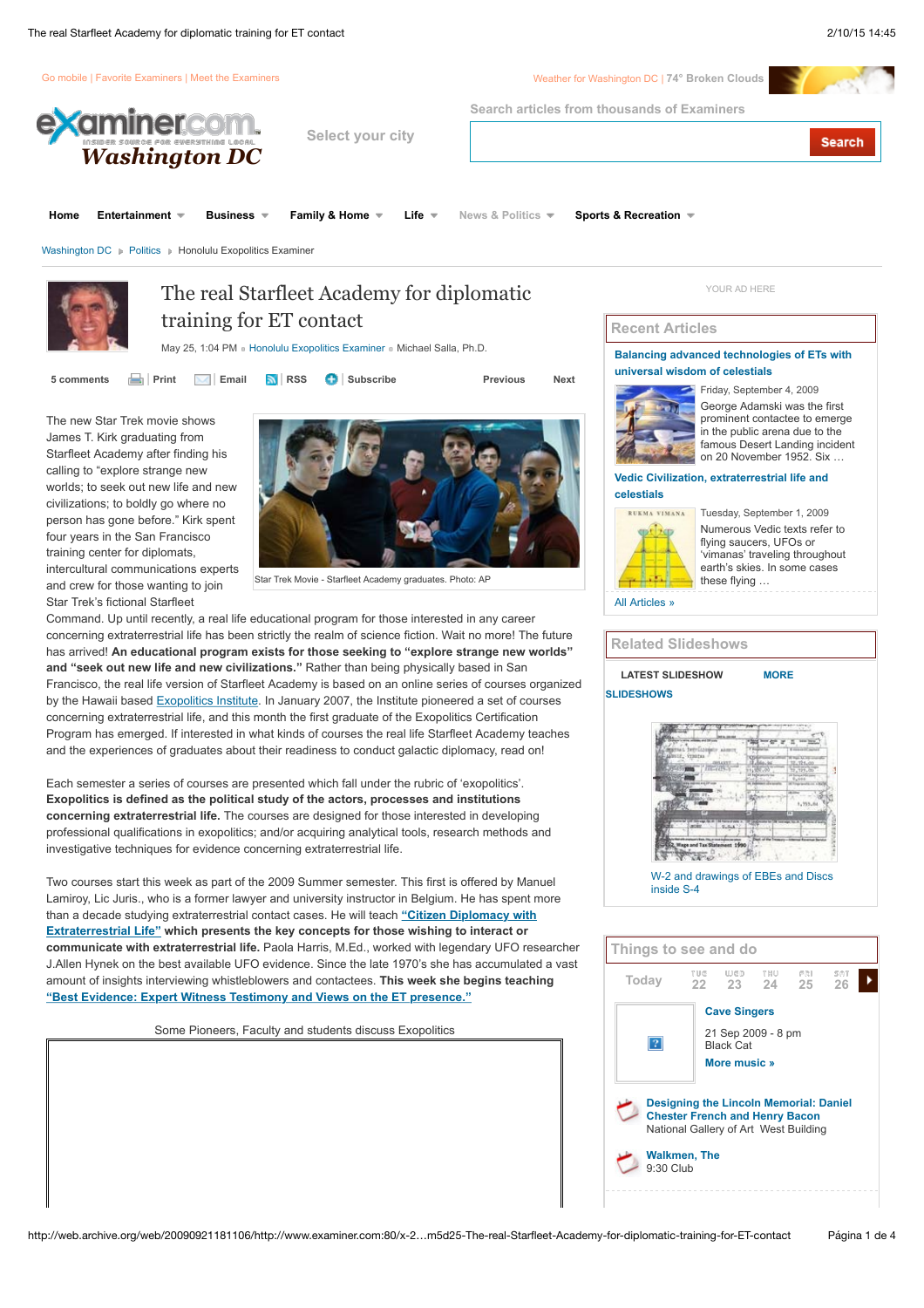

The new Star Trek movie shows James T. Kirk graduating from Starfleet Academy after finding his calling to "explore strange new worlds; to seek out new life and new civilizations; to boldly go where no person has gone before." Kirk spent four years in the San Francisco training center for diplomats, intercultural communications experts and crew for those wanting to join Star Trek's fictional Starfleet



Star Trek Movie - Starfleet Academy graduates. Photo: AP

Command. Up until recently, a real life educational program for those interested in any career concerning extraterrestrial life has been strictly the realm of science fiction. Wait no more! The future has arrived! **An educational program exists for those seeking to "explore strange new worlds" and "seek out new life and new civilizations."** Rather than being physically based in San Francisco, the real life version of Starfleet Academy is based on an online series of courses organized by the Hawaii based [Exopolitics Institute](http://web.archive.org/web/20090921181106/http://exopoliticsinstitute.org/). In January 2007, the Institute pioneered a set of courses concerning extraterrestrial life, and this month the first graduate of the Exopolitics Certification Program has emerged. If interested in what kinds of courses the real life Starfleet Academy teaches and the experiences of graduates about their readiness to conduct galactic diplomacy, read on!

Each semester a series of courses are presented which fall under the rubric of 'exopolitics'. **Exopolitics is defined as the political study of the actors, processes and institutions concerning extraterrestrial life.** The courses are designed for those interested in developing professional qualifications in exopolitics; and/or acquiring analytical tools, research methods and investigative techniques for evidence concerning extraterrestrial life.

Two courses start this week as part of the 2009 Summer semester. This first is offered by Manuel Lamiroy, Lic Juris., who is a former lawyer and university instructor in Belgium. He has spent more than a decade studying extraterrestrial contact cases. He will teach **"Citizen Diplomacy with [Extraterrestrial Life" which presents the key concepts for those wishing to interact or](http://web.archive.org/web/20090921181106/http://exopoliticsinstitute.org/certificates/Exo-102.htm) communicate with extraterrestrial life.** Paola Harris, M.Ed., worked with legendary UFO researcher J.Allen Hynek on the best available UFO evidence. Since the late 1970's she has accumulated a vast amount of insights interviewing whistleblowers and contactees. **This week she begins teaching ["Best Evidence: Expert Witness Testimony and Views on the ET presence."](http://web.archive.org/web/20090921181106/http://exopoliticsinstitute.org/certificates/Exo-103.htm)**

Some Pioneers, Faculty and students discuss Exopolitics

#### Friday, September 4, 2009 George Adamski was the first prominent contactee to emerge in the public arena due to the famous Desert Landing incident on 20 November 1952. Six …

#### **[Vedic Civilization, extraterrestrial life and](http://web.archive.org/web/20090921181106/http://www.examiner.com/x-2383-Honolulu-Exopolitics-Examiner~y2009m9d1-Vedic-Civilization-extraterrestrial-life-and-celestials) celestials**



Tuesday, September 1, 2009 Numerous Vedic texts refer to flying saucers, UFOs or 'vimanas' traveling throughout earth's skies. In some cases these flying …

[All Articles »](http://web.archive.org/web/20090921181106/http://www.examiner.com/x-2383-Honolulu-Exopolitics-Examiner)

**Related Slideshows**

# **[LATEST SLIDESHOW](http://web.archive.org/web/20090921181106/http://www.examiner.com:80/x-2383-Honolulu-Exopolitics-Examiner~y2009m5d25-The-real-Starfleet-Academy-for-diplomatic-training-for-ET-contact#featured_slideshow) MORE SLIDESHOWS**



[W-2 and drawings of EBEs and Discs](http://web.archive.org/web/20090921181106/http://www.examiner.com/ExaminerSlideshow.html?entryID=402157) inside S-4

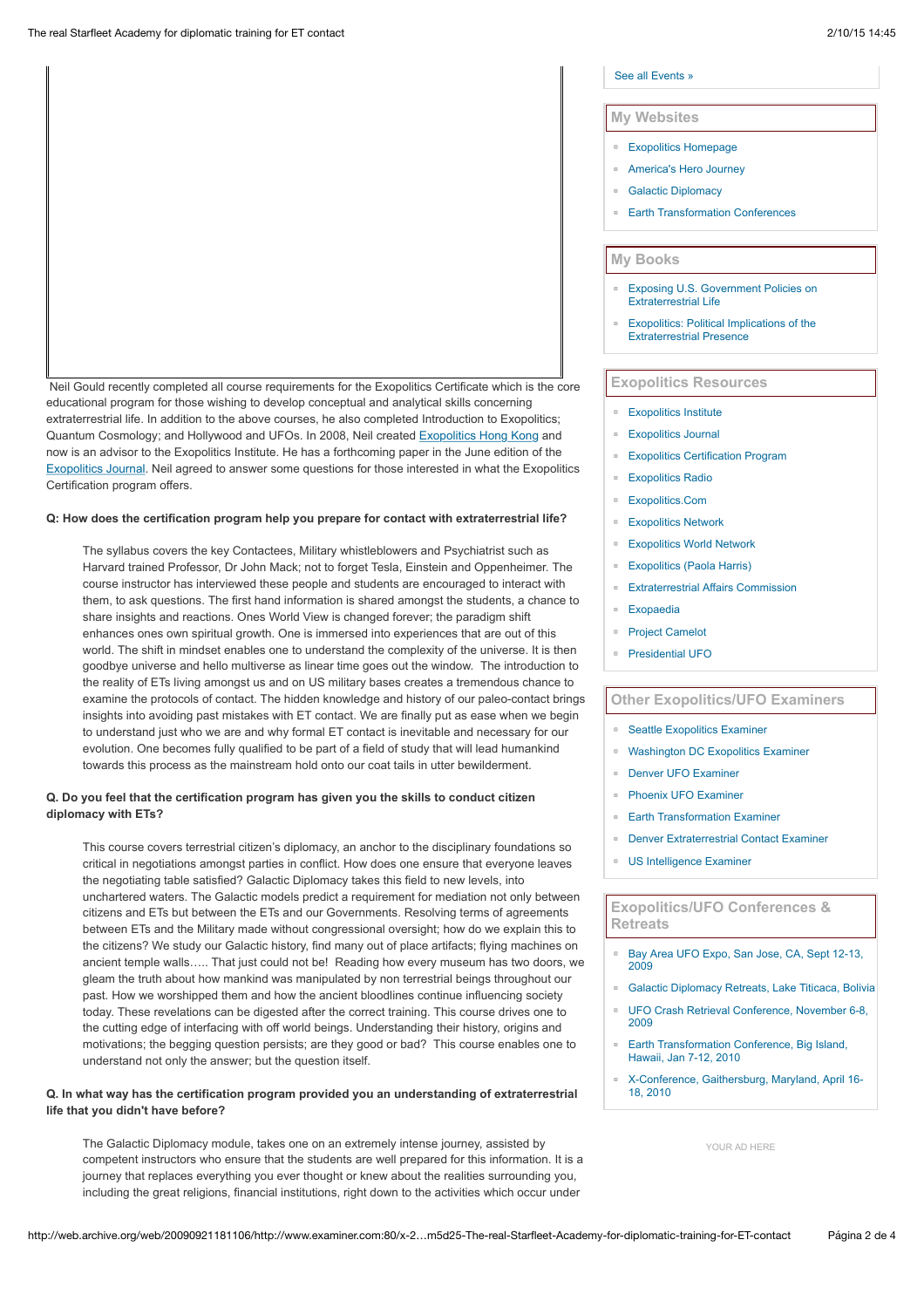Neil Gould recently completed all course requirements for the Exopolitics Certificate which is the core educational program for those wishing to develop conceptual and analytical skills concerning extraterrestrial life. In addition to the above courses, he also completed Introduction to Exopolitics; Quantum Cosmology; and Hollywood and UFOs. In 2008, Neil created [Exopolitics Hong Kong](http://web.archive.org/web/20090921181106/http://www.exopoliticshongkong.org/) and now is an advisor to the Exopolitics Institute. He has a forthcoming paper in the June edition of the [Exopolitics Journal.](http://web.archive.org/web/20090921181106/http://exopoliticsjournal.com/vol-2-1.htm) Neil agreed to answer some questions for those interested in what the Exopolitics Certification program offers.

#### **Q: How does the certification program help you prepare for contact with extraterrestrial life?**

The syllabus covers the key Contactees, Military whistleblowers and Psychiatrist such as Harvard trained Professor, Dr John Mack; not to forget Tesla, Einstein and Oppenheimer. The course instructor has interviewed these people and students are encouraged to interact with them, to ask questions. The first hand information is shared amongst the students, a chance to share insights and reactions. Ones World View is changed forever; the paradigm shift enhances ones own spiritual growth. One is immersed into experiences that are out of this world. The shift in mindset enables one to understand the complexity of the universe. It is then goodbye universe and hello multiverse as linear time goes out the window. The introduction to the reality of ETs living amongst us and on US military bases creates a tremendous chance to examine the protocols of contact. The hidden knowledge and history of our paleo-contact brings insights into avoiding past mistakes with ET contact. We are finally put as ease when we begin to understand just who we are and why formal ET contact is inevitable and necessary for our evolution. One becomes fully qualified to be part of a field of study that will lead humankind towards this process as the mainstream hold onto our coat tails in utter bewilderment.

### **Q. Do you feel that the certification program has given you the skills to conduct citizen diplomacy with ETs?**

This course covers terrestrial citizen's diplomacy, an anchor to the disciplinary foundations so critical in negotiations amongst parties in conflict. How does one ensure that everyone leaves the negotiating table satisfied? Galactic Diplomacy takes this field to new levels, into unchartered waters. The Galactic models predict a requirement for mediation not only between citizens and ETs but between the ETs and our Governments. Resolving terms of agreements between ETs and the Military made without congressional oversight; how do we explain this to the citizens? We study our Galactic history, find many out of place artifacts; flying machines on ancient temple walls….. That just could not be! Reading how every museum has two doors, we gleam the truth about how mankind was manipulated by non terrestrial beings throughout our past. How we worshipped them and how the ancient bloodlines continue influencing society today. These revelations can be digested after the correct training. This course drives one to the cutting edge of interfacing with off world beings. Understanding their history, origins and motivations; the begging question persists; are they good or bad? This course enables one to understand not only the answer; but the question itself.

## **Q. In what way has the certification program provided you an understanding of extraterrestrial life that you didn't have before?**

The Galactic Diplomacy module, takes one on an extremely intense journey, assisted by competent instructors who ensure that the students are well prepared for this information. It is a journey that replaces everything you ever thought or knew about the realities surrounding you, including the great religions, financial institutions, right down to the activities which occur under

## [See all Events »](http://web.archive.org/web/20090921181106/http://events.examiner.com/index.aspx?exmkt=washington%20dc&market=washington%20dc)

#### **My Websites**

- **[Exopolitics Homepage](http://web.archive.org/web/20090921181106/http://exopolitics.org/)**
- [America's Hero Journey](http://web.archive.org/web/20090921181106/http://americasherojourney.com/)
- **[Galactic Diplomacy](http://web.archive.org/web/20090921181106/http://galacticdiplomacy.com/)**
- **[Earth Transformation Conferences](http://web.archive.org/web/20090921181106/http://earthtransformation.com/)**

## **My Books**

- [Exposing U.S. Government Policies on](http://web.archive.org/web/20090921181106/http://exopolitics.org/book-US-ET-Policies.htm) Extraterrestrial Life
- [Exopolitics: Political Implications of the](http://web.archive.org/web/20090921181106/http://www.exopolitics.org/book-information.htm) Extraterrestrial Presence

# **Exopolitics Resources**

- **[Exopolitics Institute](http://web.archive.org/web/20090921181106/http://exopoliticsinstitute.org/)**
- **[Exopolitics Journal](http://web.archive.org/web/20090921181106/http://exopoliticsjournal.com/)**
- **[Exopolitics Certification Program](http://web.archive.org/web/20090921181106/http://exopoliticsinstitute.org/certificates/index.htm)**
- **[Exopolitics Radio](http://web.archive.org/web/20090921181106/http://exopoliticsradio.com/)**
- [Exopolitics.Com](http://web.archive.org/web/20090921181106/http://www.exopolitics.com/)
- [Exopolitics Network](http://web.archive.org/web/20090921181106/http://exopoliticsinstitute.org/network.htm)
- [Exopolitics World Network](http://web.archive.org/web/20090921181106/http://www.exopoliticsworld.net/)
- **[Exopolitics \(Paola Harris\)](http://web.archive.org/web/20090921181106/http://www.paolaharris.com/)**
- **[Extraterrestrial Affairs Commission](http://web.archive.org/web/20090921181106/http://www.extracampaign.org/)**
- [Exopaedia](http://web.archive.org/web/20090921181106/http://www.exopaedia.org/)
- [Project Camelot](http://web.archive.org/web/20090921181106/http://www.projectcamelot.net/)
- [Presidential UFO](http://web.archive.org/web/20090921181106/http://www.presidentialufo.com/)

# **Other Exopolitics/UFO Examiners**

- [Seattle Exopolitics Examiner](http://web.archive.org/web/20090921181106/http://www.examiner.com/x-2912-Seattle-Exopolitics-Examiner)
- [Washington DC Exopolitics Examiner](http://web.archive.org/web/20090921181106/http://www.examiner.com/x-4272-DC-Exopolitics-Examiner)
- [Denver UFO Examiner](http://web.archive.org/web/20090921181106/http://www.examiner.com/x-2024-Denver-UFO-Examiner/)
- [Phoenix UFO Examiner](http://web.archive.org/web/20090921181106/http://www.examiner.com/x-3766-Phoenix-UFO-Examiner)
- **[Earth Transformation Examiner](http://web.archive.org/web/20090921181106/http://www.examiner.com/x-5286-Earth-Transformation-Examiner)**
- [Denver Extraterrestrial Contact Examiner](http://web.archive.org/web/20090921181106/http://www.examiner.com/x-7722-Denver-Extraterrestrial-Contact-Examiner)
- [US Intelligence Examiner](http://web.archive.org/web/20090921181106/http://www.examiner.com/x-6495-US-Intelligence-Examiner)

#### **Exopolitics/UFO Conferences & Retreats**

- [Bay Area UFO Expo, San Jose, CA, Sept 12-13,](http://web.archive.org/web/20090921181106/http://www.thebayareaufoexpo.com/) 2009
- **[Galactic Diplomacy Retreats, Lake Titicaca, Bolivia](http://web.archive.org/web/20090921181106/http://galacticdiplomacy.com/retreats.htm)**
- $\overline{a}$ [UFO Crash Retrieval Conference, November 6-8,](http://web.archive.org/web/20090921181106/http://www.ufoconference.com/) 2009
- [Earth Transformation Conference, Big Island,](http://web.archive.org/web/20090921181106/http://earthtransformation.com/) Hawaii, Jan 7-12, 2010
- [X-Conference, Gaithersburg, Maryland, April 16-](http://web.archive.org/web/20090921181106/http://x-conference.com/) 18, 2010

[YOUR AD HERE](http://web.archive.org/web/20090921181106/http://www.examiner.com/advertise/)